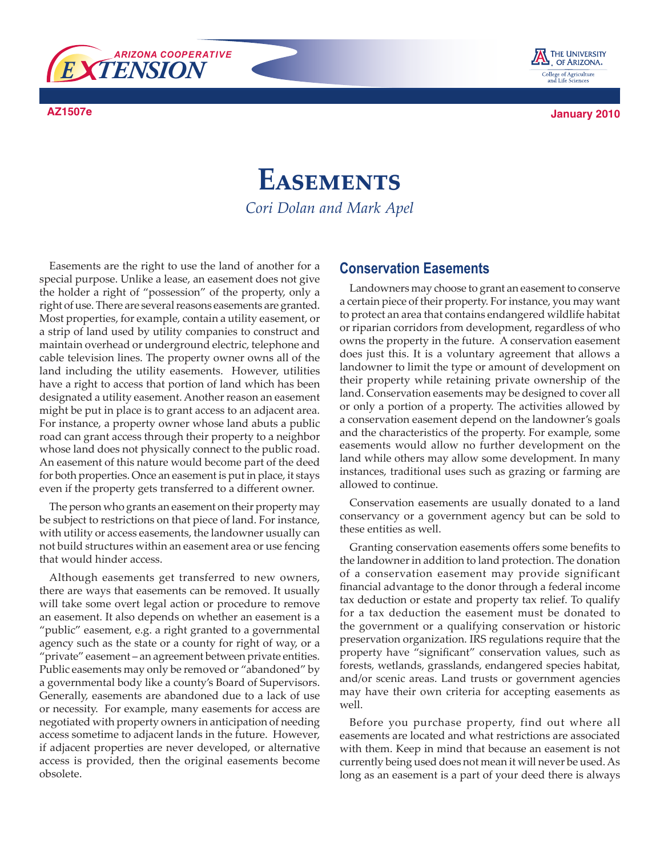



**AZ1507e January 2010**

## **Easements** *Cori Dolan and Mark Apel*

Easements are the right to use the land of another for a special purpose. Unlike a lease, an easement does not give the holder a right of "possession" of the property, only a right of use. There are several reasons easements are granted. Most properties, for example, contain a utility easement, or a strip of land used by utility companies to construct and maintain overhead or underground electric, telephone and cable television lines. The property owner owns all of the land including the utility easements. However, utilities have a right to access that portion of land which has been designated a utility easement. Another reason an easement might be put in place is to grant access to an adjacent area. For instance, a property owner whose land abuts a public road can grant access through their property to a neighbor whose land does not physically connect to the public road. An easement of this nature would become part of the deed for both properties. Once an easement is put in place, it stays even if the property gets transferred to a different owner.

The person who grants an easement on their property may be subject to restrictions on that piece of land. For instance, with utility or access easements, the landowner usually can not build structures within an easement area or use fencing that would hinder access.

Although easements get transferred to new owners, there are ways that easements can be removed. It usually will take some overt legal action or procedure to remove an easement. It also depends on whether an easement is a "public" easement, e.g. a right granted to a governmental agency such as the state or a county for right of way, or a "private" easement – an agreement between private entities. Public easements may only be removed or "abandoned" by a governmental body like a county's Board of Supervisors. Generally, easements are abandoned due to a lack of use or necessity. For example, many easements for access are negotiated with property owners in anticipation of needing access sometime to adjacent lands in the future. However, if adjacent properties are never developed, or alternative access is provided, then the original easements become obsolete.

## **Conservation Easements**

Landowners may choose to grant an easement to conserve a certain piece of their property. For instance, you may want to protect an area that contains endangered wildlife habitat or riparian corridors from development, regardless of who owns the property in the future. A conservation easement does just this. It is a voluntary agreement that allows a landowner to limit the type or amount of development on their property while retaining private ownership of the land. Conservation easements may be designed to cover all or only a portion of a property. The activities allowed by a conservation easement depend on the landowner's goals and the characteristics of the property. For example, some easements would allow no further development on the land while others may allow some development. In many instances, traditional uses such as grazing or farming are allowed to continue.

Conservation easements are usually donated to a land conservancy or a government agency but can be sold to these entities as well.

Granting conservation easements offers some benefits to the landowner in addition to land protection. The donation of a conservation easement may provide significant financial advantage to the donor through a federal income tax deduction or estate and property tax relief. To qualify for a tax deduction the easement must be donated to the government or a qualifying conservation or historic preservation organization. IRS regulations require that the property have "significant" conservation values, such as forests, wetlands, grasslands, endangered species habitat, and/or scenic areas. Land trusts or government agencies may have their own criteria for accepting easements as well.

Before you purchase property, find out where all easements are located and what restrictions are associated with them. Keep in mind that because an easement is not currently being used does not mean it will never be used. As long as an easement is a part of your deed there is always